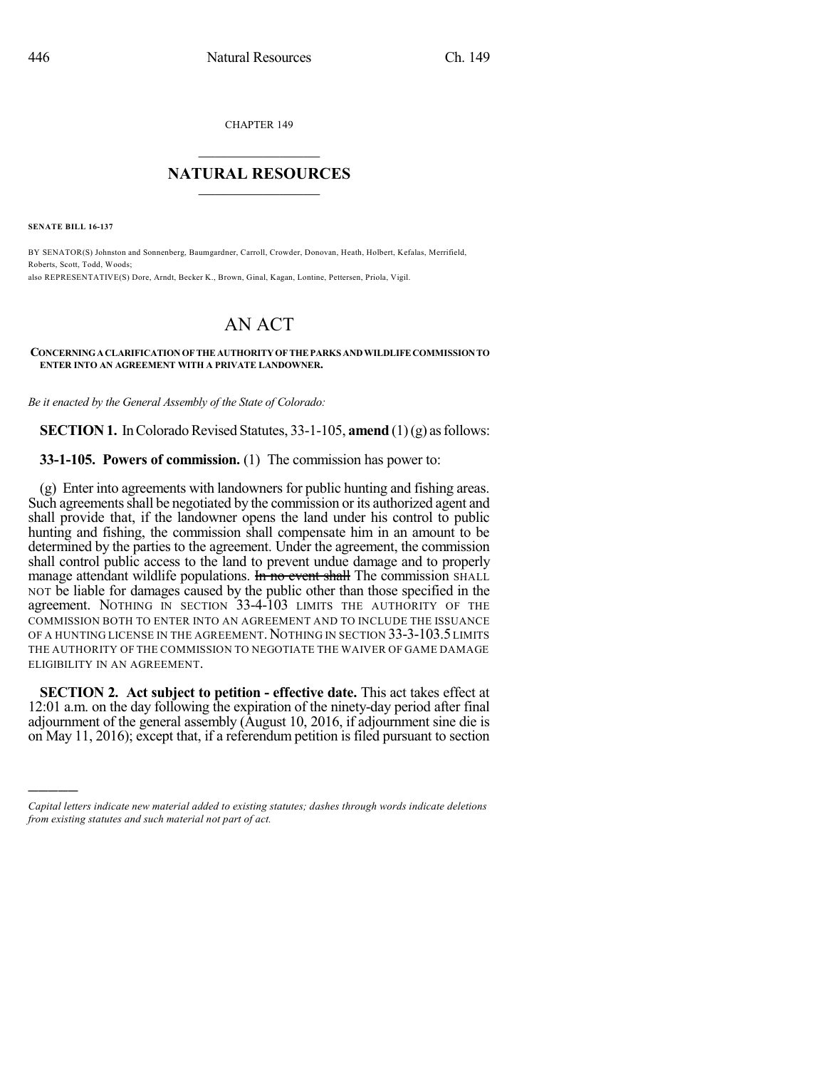CHAPTER 149

## $\overline{\phantom{a}}$  . The set of the set of the set of the set of the set of the set of the set of the set of the set of the set of the set of the set of the set of the set of the set of the set of the set of the set of the set o **NATURAL RESOURCES**  $\frac{1}{\sqrt{2}}$  ,  $\frac{1}{\sqrt{2}}$  ,  $\frac{1}{\sqrt{2}}$  ,  $\frac{1}{\sqrt{2}}$  ,  $\frac{1}{\sqrt{2}}$  ,  $\frac{1}{\sqrt{2}}$

**SENATE BILL 16-137**

)))))

BY SENATOR(S) Johnston and Sonnenberg, Baumgardner, Carroll, Crowder, Donovan, Heath, Holbert, Kefalas, Merrifield, Roberts, Scott, Todd, Woods; also REPRESENTATIVE(S) Dore, Arndt, Becker K., Brown, Ginal, Kagan, Lontine, Pettersen, Priola, Vigil.

## **CONCERNINGACLARIFICATIONOFTHEAUTHORITYOFTHEPARKS ANDWILDLIFECOMMISSIONTO ENTER INTO AN AGREEMENT WITH A PRIVATE LANDOWNER.**

AN ACT

*Be it enacted by the General Assembly of the State of Colorado:*

**SECTION 1.** In Colorado Revised Statutes, 33-1-105, **amend** (1)(g) as follows:

**33-1-105. Powers of commission.** (1) The commission has power to:

(g) Enter into agreements with landowners for public hunting and fishing areas. Such agreements shall be negotiated by the commission or its authorized agent and shall provide that, if the landowner opens the land under his control to public hunting and fishing, the commission shall compensate him in an amount to be determined by the parties to the agreement. Under the agreement, the commission shall control public access to the land to prevent undue damage and to properly manage attendant wildlife populations. **In no event shall** The commission SHALL NOT be liable for damages caused by the public other than those specified in the agreement. NOTHING IN SECTION 33-4-103 LIMITS THE AUTHORITY OF THE COMMISSION BOTH TO ENTER INTO AN AGREEMENT AND TO INCLUDE THE ISSUANCE OF A HUNTING LICENSE IN THE AGREEMENT. NOTHING IN SECTION 33-3-103.5 LIMITS THE AUTHORITY OF THE COMMISSION TO NEGOTIATE THE WAIVER OF GAME DAMAGE ELIGIBILITY IN AN AGREEMENT.

**SECTION 2. Act subject to petition - effective date.** This act takes effect at 12:01 a.m. on the day following the expiration of the ninety-day period after final adjournment of the general assembly (August 10, 2016, if adjournment sine die is on May 11, 2016); except that, if a referendum petition is filed pursuant to section

*Capital letters indicate new material added to existing statutes; dashes through words indicate deletions from existing statutes and such material not part of act.*